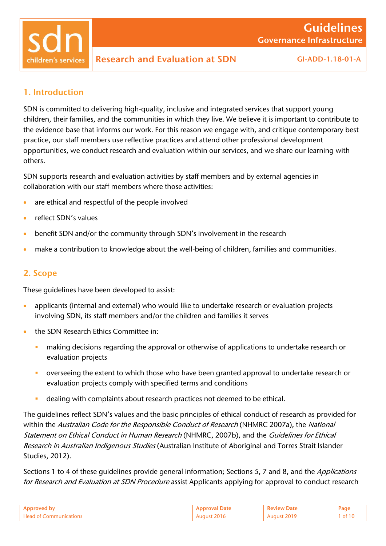children's services

#### 1. Introduction

SDN is committed to delivering high-quality, inclusive and integrated services that support young children, their families, and the communities in which they live. We believe it is important to contribute to the evidence base that informs our work. For this reason we engage with, and critique contemporary best practice, our staff members use reflective practices and attend other professional development opportunities, we conduct research and evaluation within our services, and we share our learning with others.

SDN supports research and evaluation activities by staff members and by external agencies in collaboration with our staff members where those activities:

- are ethical and respectful of the people involved
- reflect SDN's values
- benefit SDN and/or the community through SDN's involvement in the research
- make a contribution to knowledge about the well-being of children, families and communities.

#### 2. Scope

These guidelines have been developed to assist:

- applicants (internal and external) who would like to undertake research or evaluation projects involving SDN, its staff members and/or the children and families it serves
- **the SDN Research Ethics Committee in:** 
	- **EXT** making decisions regarding the approval or otherwise of applications to undertake research or evaluation projects
	- overseeing the extent to which those who have been granted approval to undertake research or evaluation projects comply with specified terms and conditions
	- dealing with complaints about research practices not deemed to be ethical.

The guidelines reflect SDN's values and the basic principles of ethical conduct of research as provided for within the Australian Code for the Responsible Conduct of Research (NHMRC 2007a), the National Statement on Ethical Conduct in Human Research (NHMRC, 2007b), and the Guidelines for Ethical Research in Australian Indigenous Studies (Australian Institute of Aboriginal and Torres Strait Islander Studies, 2012).

Sections 1 to 4 of these quidelines provide general information; Sections 5, 7 and 8, and the Applications for Research and Evaluation at SDN Procedure assist Applicants applying for approval to conduct research

| Annroved<br>n.                | oproval Date | Page |
|-------------------------------|--------------|------|
| <b>Head of Communications</b> | 2016         |      |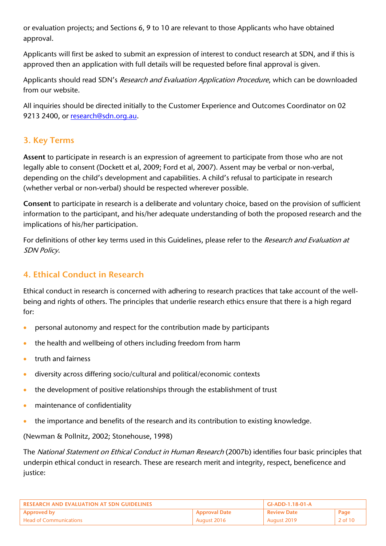or evaluation projects; and Sections 6, 9 to 10 are relevant to those Applicants who have obtained approval.

Applicants will first be asked to submit an expression of interest to conduct research at SDN, and if this is approved then an application with full details will be requested before final approval is given.

Applicants should read SDN's Research and Evaluation Application Procedure, which can be downloaded from our website.

All inquiries should be directed initially to the Customer Experience and Outcomes Coordinator on 02 9213 2400, or [research@sdn.org.au.](mailto:research@sdn.org.au)

# 3. Key Terms

Assent to participate in research is an expression of agreement to participate from those who are not legally able to consent (Dockett et al, 2009; Ford et al, 2007). Assent may be verbal or non-verbal, depending on the child's development and capabilities. A child's refusal to participate in research (whether verbal or non-verbal) should be respected wherever possible.

Consent to participate in research is a deliberate and voluntary choice, based on the provision of sufficient information to the participant, and his/her adequate understanding of both the proposed research and the implications of his/her participation.

For definitions of other key terms used in this Guidelines, please refer to the Research and Evaluation at SDN Policy.

# 4. Ethical Conduct in Research

Ethical conduct in research is concerned with adhering to research practices that take account of the wellbeing and rights of others. The principles that underlie research ethics ensure that there is a high regard for:

- personal autonomy and respect for the contribution made by participants
- the health and wellbeing of others including freedom from harm
- truth and fairness
- diversity across differing socio/cultural and political/economic contexts
- the development of positive relationships through the establishment of trust
- maintenance of confidentiality
- the importance and benefits of the research and its contribution to existing knowledge.

(Newman & Pollnitz, 2002; Stonehouse, 1998)

The National Statement on Ethical Conduct in Human Research (2007b) identifies four basic principles that underpin ethical conduct in research. These are research merit and integrity, respect, beneficence and justice:

| RESEARCH AND EVALUATION AT SDN GUIDELINES |                      | $GLADD-1.18-01-A$  |         |
|-------------------------------------------|----------------------|--------------------|---------|
| <b>Approved by</b>                        | <b>Approval Date</b> | <b>Review Date</b> | Page    |
| . Head of Communications                  | August 2016          | August 2019        | 2 of 10 |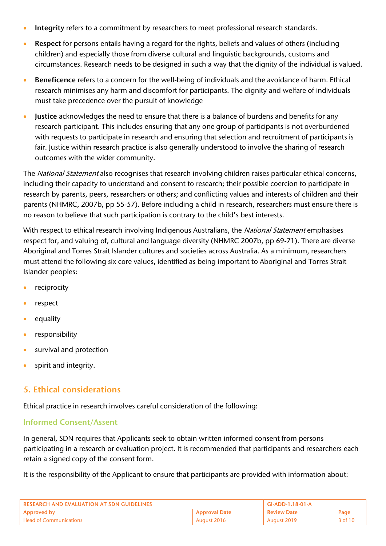- **Integrity** refers to a commitment by researchers to meet professional research standards.
- Respect for persons entails having a regard for the rights, beliefs and values of others (including children) and especially those from diverse cultural and linguistic backgrounds, customs and circumstances. Research needs to be designed in such a way that the dignity of the individual is valued.
- **Beneficence** refers to a concern for the well-being of individuals and the avoidance of harm. Ethical research minimises any harm and discomfort for participants. The dignity and welfare of individuals must take precedence over the pursuit of knowledge
- **IUSTICE** acknowledges the need to ensure that there is a balance of burdens and benefits for any research participant. This includes ensuring that any one group of participants is not overburdened with requests to participate in research and ensuring that selection and recruitment of participants is fair. Justice within research practice is also generally understood to involve the sharing of research outcomes with the wider community.

The National Statement also recognises that research involving children raises particular ethical concerns, including their capacity to understand and consent to research; their possible coercion to participate in research by parents, peers, researchers or others; and conflicting values and interests of children and their parents (NHMRC, 2007b, pp 55-57). Before including a child in research, researchers must ensure there is no reason to believe that such participation is contrary to the child's best interests.

With respect to ethical research involving Indigenous Australians, the National Statement emphasises respect for, and valuing of, cultural and language diversity (NHMRC 2007b, pp 69-71). There are diverse Aboriginal and Torres Strait Islander cultures and societies across Australia. As a minimum, researchers must attend the following six core values, identified as being important to Aboriginal and Torres Strait Islander peoples:

- reciprocity
- respect
- equality
- responsibility
- survival and protection
- spirit and integrity.

## 5. Ethical considerations

Ethical practice in research involves careful consideration of the following:

#### Informed Consent/Assent

In general, SDN requires that Applicants seek to obtain written informed consent from persons participating in a research or evaluation project. It is recommended that participants and researchers each retain a signed copy of the consent form.

It is the responsibility of the Applicant to ensure that participants are provided with information about:

| <b>RESEARCH AND EVALUATION AT SDN GUIDELINES</b> |             | GI-ADD-1.18-01-A   |             |
|--------------------------------------------------|-------------|--------------------|-------------|
| <b>Approval Date</b><br><b>Approved by</b>       |             | <b>Review Date</b> | Page        |
| <b>Head of Communications</b>                    | August 2016 | August 2019        | $3$ of $10$ |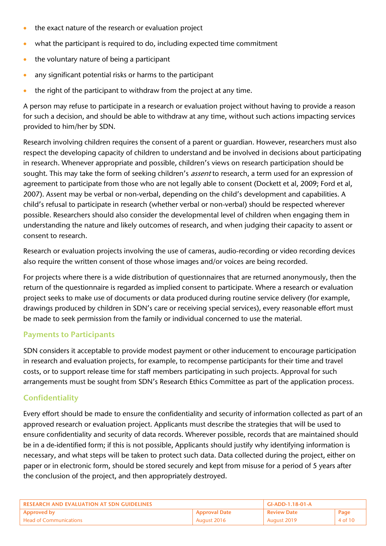- the exact nature of the research or evaluation project
- what the participant is required to do, including expected time commitment
- $\bullet$  the voluntary nature of being a participant
- any significant potential risks or harms to the participant
- the right of the participant to withdraw from the project at any time.

A person may refuse to participate in a research or evaluation project without having to provide a reason for such a decision, and should be able to withdraw at any time, without such actions impacting services provided to him/her by SDN.

Research involving children requires the consent of a parent or guardian. However, researchers must also respect the developing capacity of children to understand and be involved in decisions about participating in research. Whenever appropriate and possible, children's views on research participation should be sought. This may take the form of seeking children's *assent* to research, a term used for an expression of agreement to participate from those who are not legally able to consent (Dockett et al, 2009; Ford et al, 2007). Assent may be verbal or non-verbal, depending on the child's development and capabilities. A child's refusal to participate in research (whether verbal or non-verbal) should be respected wherever possible. Researchers should also consider the developmental level of children when engaging them in understanding the nature and likely outcomes of research, and when judging their capacity to assent or consent to research.

Research or evaluation projects involving the use of cameras, audio-recording or video recording devices also require the written consent of those whose images and/or voices are being recorded.

For projects where there is a wide distribution of questionnaires that are returned anonymously, then the return of the questionnaire is regarded as implied consent to participate. Where a research or evaluation project seeks to make use of documents or data produced during routine service delivery (for example, drawings produced by children in SDN's care or receiving special services), every reasonable effort must be made to seek permission from the family or individual concerned to use the material.

## Payments to Participants

SDN considers it acceptable to provide modest payment or other inducement to encourage participation in research and evaluation projects, for example, to recompense participants for their time and travel costs, or to support release time for staff members participating in such projects. Approval for such arrangements must be sought from SDN's Research Ethics Committee as part of the application process.

## **Confidentiality**

Every effort should be made to ensure the confidentiality and security of information collected as part of an approved research or evaluation project. Applicants must describe the strategies that will be used to ensure confidentiality and security of data records. Wherever possible, records that are maintained should be in a de-identified form; if this is not possible, Applicants should justify why identifying information is necessary, and what steps will be taken to protect such data. Data collected during the project, either on paper or in electronic form, should be stored securely and kept from misuse for a period of 5 years after the conclusion of the project, and then appropriately destroyed.

| <b>RESEARCH AND EVALUATION AT SDN GUIDELINES</b> |                      | $GI-ADD-1.18-01-A$ |         |
|--------------------------------------------------|----------------------|--------------------|---------|
| <b>Approved by</b>                               | <b>Approval Date</b> | ' Review Date      | Page    |
| <b>Head of Communications</b>                    | August 2016          | August 2019        | 4 of 10 |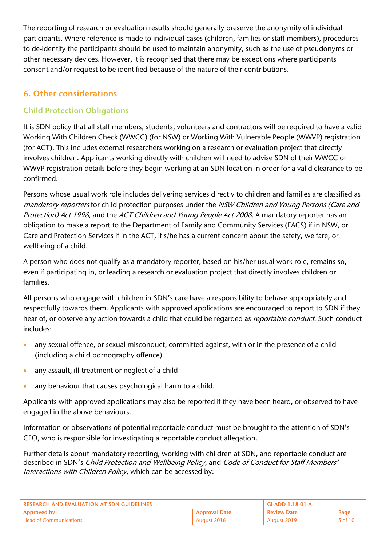The reporting of research or evaluation results should generally preserve the anonymity of individual participants. Where reference is made to individual cases (children, families or staff members), procedures to de-identify the participants should be used to maintain anonymity, such as the use of pseudonyms or other necessary devices. However, it is recognised that there may be exceptions where participants consent and/or request to be identified because of the nature of their contributions.

# 6. Other considerations

## Child Protection Obligations

It is SDN policy that all staff members, students, volunteers and contractors will be required to have a valid Working With Children Check (WWCC) (for NSW) or Working With Vulnerable People (WWVP) registration (for ACT). This includes external researchers working on a research or evaluation project that directly involves children. Applicants working directly with children will need to advise SDN of their WWCC or WWVP registration details before they begin working at an SDN location in order for a valid clearance to be confirmed.

Persons whose usual work role includes delivering services directly to children and families are classified as mandatory reporters for child protection purposes under the NSW Children and Young Persons (Care and Protection) Act 1998, and the ACT Children and Young People Act 2008. A mandatory reporter has an obligation to make a report to the Department of Family and Community Services (FACS) if in NSW, or Care and Protection Services if in the ACT, if s/he has a current concern about the safety, welfare, or wellbeing of a child.

A person who does not qualify as a mandatory reporter, based on his/her usual work role, remains so, even if participating in, or leading a research or evaluation project that directly involves children or families.

All persons who engage with children in SDN's care have a responsibility to behave appropriately and respectfully towards them. Applicants with approved applications are encouraged to report to SDN if they hear of, or observe any action towards a child that could be regarded as *reportable conduct*. Such conduct includes:

- any sexual offence, or sexual misconduct, committed against, with or in the presence of a child (including a child pornography offence)
- any assault, ill-treatment or neglect of a child
- any behaviour that causes psychological harm to a child.

Applicants with approved applications may also be reported if they have been heard, or observed to have engaged in the above behaviours.

Information or observations of potential reportable conduct must be brought to the attention of SDN's CEO, who is responsible for investigating a reportable conduct allegation.

Further details about mandatory reporting, working with children at SDN, and reportable conduct are described in SDN's Child Protection and Wellbeing Policy, and Code of Conduct for Staff Members' Interactions with Children Policy, which can be accessed by:

| RESEARCH AND EVALUATION AT SDN GUIDELINES |                      | GI-ADD-1.18-01-A   |                    |
|-------------------------------------------|----------------------|--------------------|--------------------|
| Approved by                               | <b>Approval Date</b> | <b>Review Date</b> | Page               |
| . Head of Communications                  | August 2016          | August 2019        | $5 \text{ of } 10$ |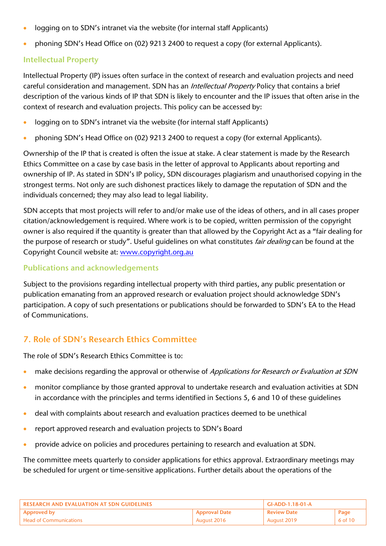- logging on to SDN's intranet via the website (for internal staff Applicants)
- phoning SDN's Head Office on (02) 9213 2400 to request a copy (for external Applicants).

#### Intellectual Property

Intellectual Property (IP) issues often surface in the context of research and evaluation projects and need careful consideration and management. SDN has an *Intellectual Property* Policy that contains a brief description of the various kinds of IP that SDN is likely to encounter and the IP issues that often arise in the context of research and evaluation projects. This policy can be accessed by:

- logging on to SDN's intranet via the website (for internal staff Applicants)
- phoning SDN's Head Office on (02) 9213 2400 to request a copy (for external Applicants).

Ownership of the IP that is created is often the issue at stake. A clear statement is made by the Research Ethics Committee on a case by case basis in the letter of approval to Applicants about reporting and ownership of IP. As stated in SDN's IP policy, SDN discourages plagiarism and unauthorised copying in the strongest terms. Not only are such dishonest practices likely to damage the reputation of SDN and the individuals concerned; they may also lead to legal liability.

SDN accepts that most projects will refer to and/or make use of the ideas of others, and in all cases proper citation/acknowledgement is required. Where work is to be copied, written permission of the copyright owner is also required if the quantity is greater than that allowed by the Copyright Act as a "fair dealing for the purpose of research or study". Useful quidelines on what constitutes *fair dealing* can be found at the Copyright Council website at: [www.copyright.org.au](http://www.copyright.org.au/pdf/acc/infosheets_pdf/G053.pdf)

#### Publications and acknowledgements

Subject to the provisions regarding intellectual property with third parties, any public presentation or publication emanating from an approved research or evaluation project should acknowledge SDN's participation. A copy of such presentations or publications should be forwarded to SDN's EA to the Head of Communications.

## 7. Role of SDN's Research Ethics Committee

The role of SDN's Research Ethics Committee is to:

- make decisions regarding the approval or otherwise of Applications for Research or Evaluation at SDN
- monitor compliance by those granted approval to undertake research and evaluation activities at SDN in accordance with the principles and terms identified in Sections 5, 6 and 10 of these guidelines
- deal with complaints about research and evaluation practices deemed to be unethical
- report approved research and evaluation projects to SDN's Board
- **•** provide advice on policies and procedures pertaining to research and evaluation at SDN.

The committee meets quarterly to consider applications for ethics approval. Extraordinary meetings may be scheduled for urgent or time-sensitive applications. Further details about the operations of the

| <b>RESEARCH AND EVALUATION AT SDN GUIDELINES</b> |             | GI-ADD-1.18-01-A   |         |
|--------------------------------------------------|-------------|--------------------|---------|
| <b>Approval Date</b><br><b>Approved by</b>       |             | <b>Review Date</b> | Page    |
| <b>Head of Communications</b>                    | August 2016 | August 2019        | 6 of 10 |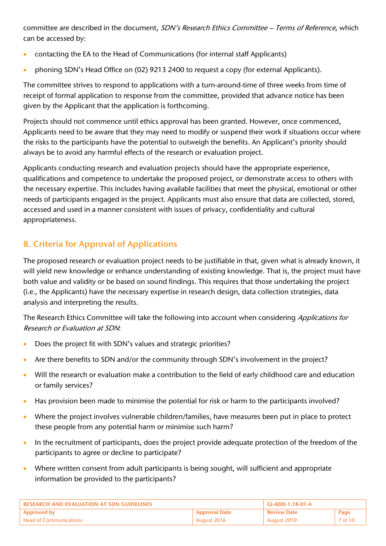committee are described in the document, SDN's Research Ethics Committee - Terms of Reference, which can be accessed by:

- contacting the EA to the Head of Communications (for internal staff Applicants)
- phoning SDN's Head Office on (02) 9213 2400 to request a copy (for external Applicants).

The committee strives to respond to applications with a turn-around-time of three weeks from time of receipt of formal application to response from the committee, provided that advance notice has been given by the Applicant that the application is forthcoming.

Projects should not commence until ethics approval has been granted. However, once commenced, Applicants need to be aware that they may need to modify or suspend their work if situations occur where the risks to the participants have the potential to outweigh the benefits. An Applicant's priority should always be to avoid any harmful effects of the research or evaluation project.

Applicants conducting research and evaluation projects should have the appropriate experience, qualifications and competence to undertake the proposed project, or demonstrate access to others with the necessary expertise. This includes having available facilities that meet the physical, emotional or other needs of participants engaged in the project. Applicants must also ensure that data are collected, stored, accessed and used in a manner consistent with issues of privacy, confidentiality and cultural appropriateness.

# 8. Criteria for Approval of Applications

The proposed research or evaluation project needs to be justifiable in that, given what is already known, it will yield new knowledge or enhance understanding of existing knowledge. That is, the project must have both value and validity or be based on sound findings. This requires that those undertaking the project (i.e., the Applicants) have the necessary expertise in research design, data collection strategies, data analysis and interpreting the results.

The Research Ethics Committee will take the following into account when considering Applications for Research or Evaluation at SDN:

- Does the project fit with SDN's values and strategic priorities?
- Are there benefits to SDN and/or the community through SDN's involvement in the project?
- Will the research or evaluation make a contribution to the field of early childhood care and education or family services?
- Has provision been made to minimise the potential for risk or harm to the participants involved?
- Where the project involves vulnerable children/families, have measures been put in place to protect these people from any potential harm or minimise such harm?
- In the recruitment of participants, does the project provide adequate protection of the freedom of the participants to agree or decline to participate?
- Where written consent from adult participants is being sought, will sufficient and appropriate information be provided to the participants?

| <b>RESEARCH AND EVALUATION AT SDN GUIDELINES</b> |                      | GI-ADD-1.18-01-A   |         |
|--------------------------------------------------|----------------------|--------------------|---------|
| <b>Approved by</b>                               | <b>Approval Date</b> | <b>Review Date</b> | Page    |
| <b>Head of Communications</b>                    | August 2016          | August 2019        | 7 of 10 |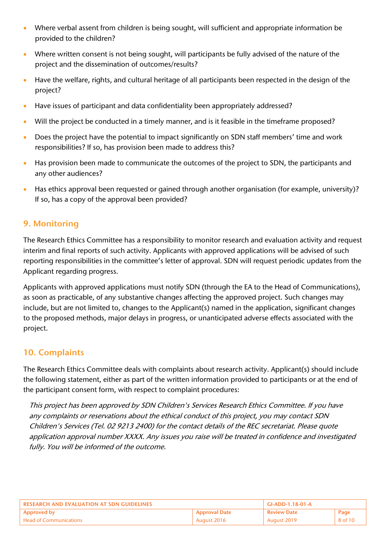- Where verbal assent from children is being sought, will sufficient and appropriate information be provided to the children?
- Where written consent is not being sought, will participants be fully advised of the nature of the project and the dissemination of outcomes/results?
- Have the welfare, rights, and cultural heritage of all participants been respected in the design of the project?
- Have issues of participant and data confidentiality been appropriately addressed?
- Will the project be conducted in a timely manner, and is it feasible in the timeframe proposed?
- Does the project have the potential to impact significantly on SDN staff members' time and work responsibilities? If so, has provision been made to address this?
- Has provision been made to communicate the outcomes of the project to SDN, the participants and any other audiences?
- Has ethics approval been requested or gained through another organisation (for example, university)? If so, has a copy of the approval been provided?

## 9. Monitoring

The Research Ethics Committee has a responsibility to monitor research and evaluation activity and request interim and final reports of such activity. Applicants with approved applications will be advised of such reporting responsibilities in the committee's letter of approval. SDN will request periodic updates from the Applicant regarding progress.

Applicants with approved applications must notify SDN (through the EA to the Head of Communications), as soon as practicable, of any substantive changes affecting the approved project. Such changes may include, but are not limited to, changes to the Applicant(s) named in the application, significant changes to the proposed methods, major delays in progress, or unanticipated adverse effects associated with the project.

## 10. Complaints

The Research Ethics Committee deals with complaints about research activity. Applicant(s) should include the following statement, either as part of the written information provided to participants or at the end of the participant consent form, with respect to complaint procedures:

This project has been approved by SDN Children's Services Research Ethics Committee. If you have any complaints or reservations about the ethical conduct of this project, you may contact SDN Children's Services (Tel. 02 9213 2400) for the contact details of the REC secretariat. Please quote application approval number XXXX. Any issues you raise will be treated in confidence and investigated fully. You will be informed of the outcome.

| RESEARCH AND EVALUATION AT SDN GUIDELINES |                      | GI-ADD-1.18-01-A   |         |
|-------------------------------------------|----------------------|--------------------|---------|
| Approved by                               | <b>Approval Date</b> | <b>Review Date</b> | Page    |
| Head of Communications                    | August 2016          | August 2019        | 8 of 10 |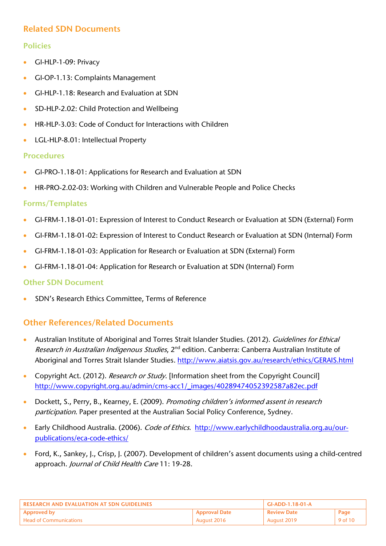## Related SDN Documents

## Policies

- GI-HLP-1-09: Privacy
- GI-OP-1.13: Complaints Management
- GI-HLP-1.18: Research and Evaluation at SDN
- SD-HLP-2.02: Child Protection and Wellbeing
- HR-HLP-3.03: Code of Conduct for Interactions with Children
- LGL-HLP-8.01: Intellectual Property

#### Procedures

- GI-PRO-1.18-01: Applications for Research and Evaluation at SDN
- HR-PRO-2.02-03: Working with Children and Vulnerable People and Police Checks

#### Forms/Templates

- GI-FRM-1.18-01-01: Expression of Interest to Conduct Research or Evaluation at SDN (External) Form
- GI-FRM-1.18-01-02: Expression of Interest to Conduct Research or Evaluation at SDN (Internal) Form
- GI-FRM-1.18-01-03: Application for Research or Evaluation at SDN (External) Form
- GI-FRM-1.18-01-04: Application for Research or Evaluation at SDN (Internal) Form

#### Other SDN Document

SDN's Research Ethics Committee, Terms of Reference

## Other References/Related Documents

- Australian Institute of Aboriginal and Torres Strait Islander Studies. (2012). Guidelines for Ethical Research in Australian Indigenous Studies, 2<sup>nd</sup> edition. Canberra: Canberra Australian Institute of Aboriginal and Torres Strait Islander Studies[. http://www.aiatsis.gov.au/research/ethics/GERAIS.html](http://www.aiatsis.gov.au/research/ethics/GERAIS.html)
- Copyright Act. (2012). Research or Study. [Information sheet from the Copyright Council] [http://www.copyright.org.au/admin/cms-acc1/\\_images/40289474052392587a82ec.pdf](http://www.copyright.org.au/admin/cms-acc1/_images/40289474052392587a82ec.pdf)
- Dockett, S., Perry, B., Kearney, E. (2009). Promoting children's informed assent in research participation. Paper presented at the Australian Social Policy Conference, Sydney.
- Early Childhood Australia. (2006). Code of Ethics. [http://www.earlychildhoodaustralia.org.au/our](http://www.earlychildhoodaustralia.org.au/our-publications/eca-code-ethics/)[publications/eca-code-ethics/](http://www.earlychildhoodaustralia.org.au/our-publications/eca-code-ethics/)
- Ford, K., Sankey, J., Crisp, J. (2007). Development of children's assent documents using a child-centred approach. Journal of Child Health Care 11: 19-28.

| <b>LRESEARCH AND EVALUATION AT SDN GUIDELINES</b> |                      | GI-ADD-1.18-01-A   |         |
|---------------------------------------------------|----------------------|--------------------|---------|
| <b>Approved by</b>                                | <b>Approval Date</b> | <b>Review Date</b> | Page    |
| <b>Head of Communications</b>                     | August 2016          | ` Auaust 2019      | 9 of 10 |